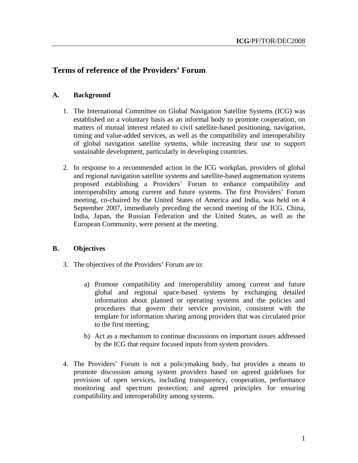# **Terms of reference of the Providers' Forum**

## **A. Background**

- 1. The International Committee on Global Navigation Satellite Systems (ICG) was established on a voluntary basis as an informal body to promote cooperation, on matters of mutual interest related to civil satellite-based positioning, navigation, timing and value-added services, as well as the compatibility and interoperability of global navigation satellite systems, while increasing their use to support sustainable development, particularly in developing countries.
- 2. In response to a recommended action in the ICG workplan, providers of global and regional navigation satellite systems and satellite-based augmentation systems proposed establishing a Providers' Forum to enhance compatibility and interoperability among current and future systems. The first Providers' Forum meeting, co-chaired by the United States of America and India, was held on 4 September 2007, immediately preceding the second meeting of the ICG. China, India, Japan, the Russian Federation and the United States, as well as the European Community, were present at the meeting.

### **B. Objectives**

- 3. The objectives of the Providers' Forum are to:
	- a) Promote compatibility and interoperability among current and future global and regional space-based systems by exchanging detailed information about planned or operating systems and the policies and procedures that govern their service provision, consistent with the template for information sharing among providers that was circulated prior to the first meeting;
	- b) Act as a mechanism to continue discussions on important issues addressed by the ICG that require focused inputs from system providers.
- 4. The Providers' Forum is not a policymaking body, but provides a means to promote discussion among system providers based on agreed guidelines for provision of open services, including transparency, cooperation, performance monitoring and spectrum protection; and agreed principles for ensuring compatibility and interoperability among systems.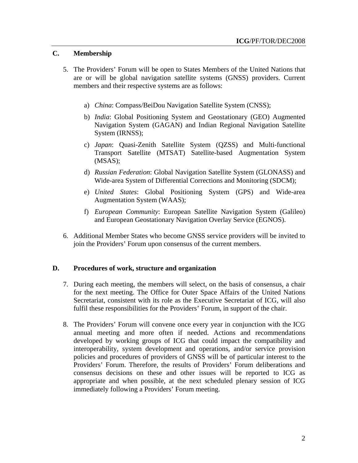### **C. Membership**

- 5. The Providers' Forum will be open to States Members of the United Nations that are or will be global navigation satellite systems (GNSS) providers. Current members and their respective systems are as follows:
	- a) *China*: Compass/BeiDou Navigation Satellite System (CNSS);
	- b) *India*: Global Positioning System and Geostationary (GEO) Augmented Navigation System (GAGAN) and Indian Regional Navigation Satellite System (IRNSS);
	- c) *Japan*: Quasi-Zenith Satellite System (QZSS) and Multi-functional Transport Satellite (MTSAT) Satellite-based Augmentation System (MSAS);
	- d) *Russian Federation*: Global Navigation Satellite System (GLONASS) and Wide-area System of Differential Corrections and Monitoring (SDCM);
	- e) *United States*: Global Positioning System (GPS) and Wide-area Augmentation System (WAAS);
	- f) *European Community*: European Satellite Navigation System (Galileo) and European Geostationary Navigation Overlay Service (EGNOS).
- 6. Additional Member States who become GNSS service providers will be invited to join the Providers' Forum upon consensus of the current members.

#### **D. Procedures of work, structure and organization**

- 7. During each meeting, the members will select, on the basis of consensus, a chair for the next meeting. The Office for Outer Space Affairs of the United Nations Secretariat, consistent with its role as the Executive Secretariat of ICG, will also fulfil these responsibilities for the Providers' Forum, in support of the chair.
- 8. The Providers' Forum will convene once every year in conjunction with the ICG annual meeting and more often if needed. Actions and recommendations developed by working groups of ICG that could impact the compatibility and interoperability, system development and operations, and/or service provision policies and procedures of providers of GNSS will be of particular interest to the Providers' Forum. Therefore, the results of Providers' Forum deliberations and consensus decisions on these and other issues will be reported to ICG as appropriate and when possible, at the next scheduled plenary session of ICG immediately following a Providers' Forum meeting.